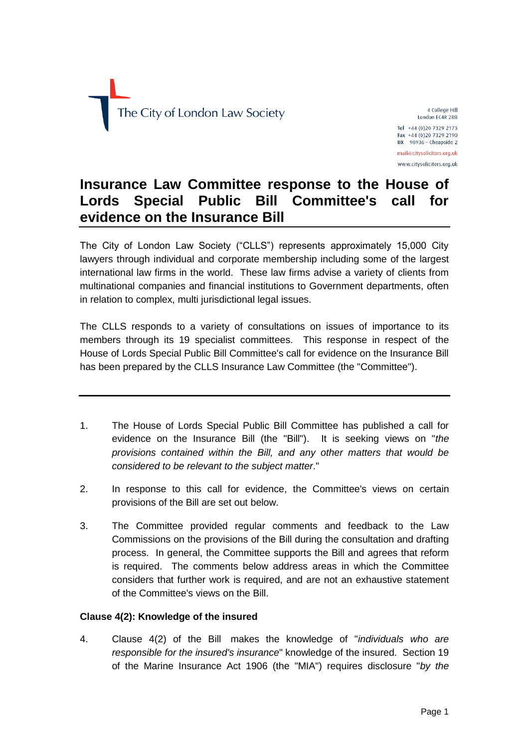

4 College Hill London EC4R 2RB Tel +44 (0)20 7329 2173 Fax +44 (0)20 7329 2190  $DX$  98936 - Cheapside 2 mail@citysolicitors.org.uk www.citysolicitors.org.uk

# **Insurance Law Committee response to the House of Lords Special Public Bill Committee's call for evidence on the Insurance Bill**

The City of London Law Society ("CLLS") represents approximately 15,000 City lawyers through individual and corporate membership including some of the largest international law firms in the world. These law firms advise a variety of clients from multinational companies and financial institutions to Government departments, often in relation to complex, multi jurisdictional legal issues.

The CLLS responds to a variety of consultations on issues of importance to its members through its 19 specialist committees. This response in respect of the House of Lords Special Public Bill Committee's call for evidence on the Insurance Bill has been prepared by the CLLS Insurance Law Committee (the "Committee").

- 1. The House of Lords Special Public Bill Committee has published a call for evidence on the Insurance Bill (the "Bill"). It is seeking views on "*the provisions contained within the Bill, and any other matters that would be considered to be relevant to the subject matter*."
- 2. In response to this call for evidence, the Committee's views on certain provisions of the Bill are set out below.
- 3. The Committee provided regular comments and feedback to the Law Commissions on the provisions of the Bill during the consultation and drafting process. In general, the Committee supports the Bill and agrees that reform is required. The comments below address areas in which the Committee considers that further work is required, and are not an exhaustive statement of the Committee's views on the Bill.

# **Clause 4(2): Knowledge of the insured**

4. Clause 4(2) of the Bill makes the knowledge of "*individuals who are responsible for the insured's insurance*" knowledge of the insured. Section 19 of the Marine Insurance Act 1906 (the "MIA") requires disclosure "*by the*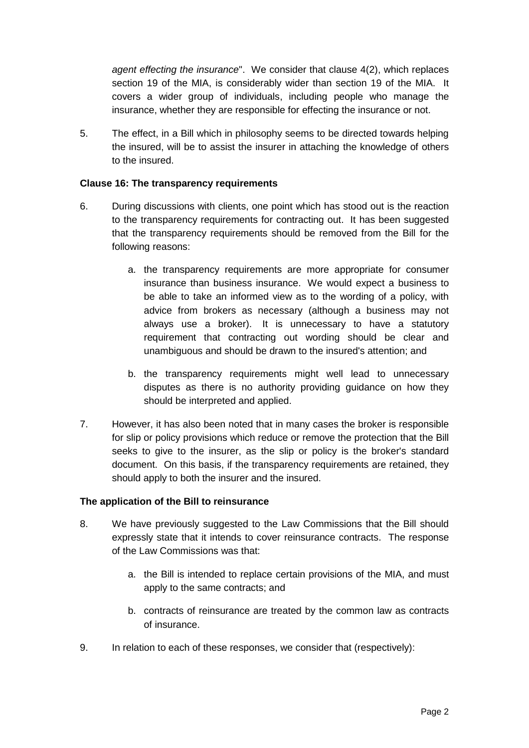*agent effecting the insurance*". We consider that clause 4(2), which replaces section 19 of the MIA, is considerably wider than section 19 of the MIA. It covers a wider group of individuals, including people who manage the insurance, whether they are responsible for effecting the insurance or not.

5. The effect, in a Bill which in philosophy seems to be directed towards helping the insured, will be to assist the insurer in attaching the knowledge of others to the insured.

### **Clause 16: The transparency requirements**

- 6. During discussions with clients, one point which has stood out is the reaction to the transparency requirements for contracting out. It has been suggested that the transparency requirements should be removed from the Bill for the following reasons:
	- a. the transparency requirements are more appropriate for consumer insurance than business insurance. We would expect a business to be able to take an informed view as to the wording of a policy, with advice from brokers as necessary (although a business may not always use a broker). It is unnecessary to have a statutory requirement that contracting out wording should be clear and unambiguous and should be drawn to the insured's attention; and
	- b. the transparency requirements might well lead to unnecessary disputes as there is no authority providing guidance on how they should be interpreted and applied.
- 7. However, it has also been noted that in many cases the broker is responsible for slip or policy provisions which reduce or remove the protection that the Bill seeks to give to the insurer, as the slip or policy is the broker's standard document. On this basis, if the transparency requirements are retained, they should apply to both the insurer and the insured.

#### **The application of the Bill to reinsurance**

- 8. We have previously suggested to the Law Commissions that the Bill should expressly state that it intends to cover reinsurance contracts. The response of the Law Commissions was that:
	- a. the Bill is intended to replace certain provisions of the MIA, and must apply to the same contracts; and
	- b. contracts of reinsurance are treated by the common law as contracts of insurance.
- 9. In relation to each of these responses, we consider that (respectively):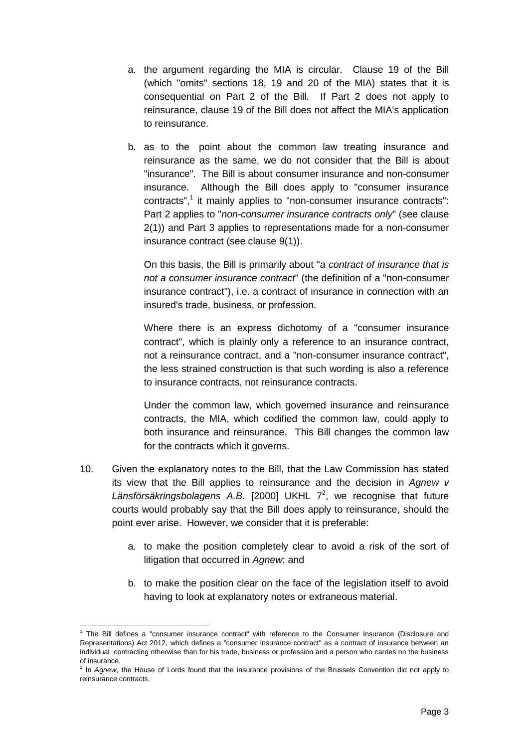- a. the argument regarding the MIA is circular. Clause 19 of the Bill (which "omits" sections 18, 19 and 20 of the MIA) states that it is consequential on Part 2 of the Bill. If Part 2 does not apply to reinsurance, clause 19 of the Bill does not affect the MIA's application to reinsurance.
- b. as to the point about the common law treating insurance and reinsurance as the same, we do not consider that the Bill is about "insurance". The Bill is about consumer insurance and non-consumer insurance. Although the Bill does apply to "consumer insurance contracts",<sup>1</sup> it mainly applies to "non-consumer insurance contracts": Part 2 applies to "*non-consumer insurance contracts only*" (see clause 2(1)) and Part 3 applies to representations made for a non-consumer insurance contract (see clause 9(1)).

On this basis, the Bill is primarily about "*a contract of insurance that is not a consumer insurance contract*" (the definition of a "non-consumer insurance contract"), i.e. a contract of insurance in connection with an insured's trade, business, or profession.

Where there is an express dichotomy of a "consumer insurance contract", which is plainly only a reference to an insurance contract, not a reinsurance contract, and a "non-consumer insurance contract", the less strained construction is that such wording is also a reference to insurance contracts, not reinsurance contracts.

Under the common law, which governed insurance and reinsurance contracts, the MIA, which codified the common law, could apply to both insurance and reinsurance. This Bill changes the common law for the contracts which it governs.

- 10. Given the explanatory notes to the Bill, that the Law Commission has stated its view that the Bill applies to reinsurance and the decision in *Agnew v*  Länsförsäkringsbolagens A.B. [2000] UKHL 7<sup>2</sup>, we recognise that future courts would probably say that the Bill does apply to reinsurance, should the point ever arise. However, we consider that it is preferable:
	- a. to make the position completely clear to avoid a risk of the sort of litigation that occurred in *Agnew*; and
	- b. to make the position clear on the face of the legislation itself to avoid having to look at explanatory notes or extraneous material.

<sup>1</sup> <sup>1</sup> The Bill defines a "consumer insurance contract" with reference to the Consumer Insurance (Disclosure and Representations) Act 2012, which defines a "consumer insurance contract" as a contract of insurance between an individual contracting otherwise than for his trade, business or profession and a person who carries on the business of insurance.

<sup>2</sup> In *Agnew*, the House of Lords found that the insurance provisions of the Brussels Convention did not apply to reinsurance contracts.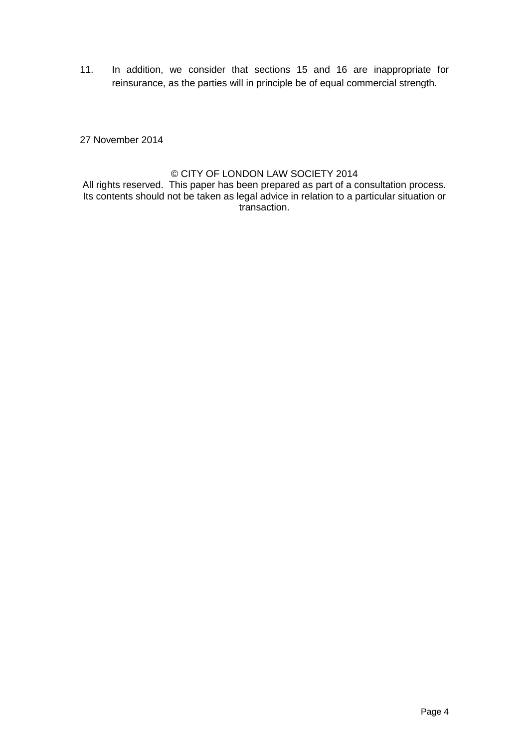11. In addition, we consider that sections 15 and 16 are inappropriate for reinsurance, as the parties will in principle be of equal commercial strength.

27 November 2014

## © CITY OF LONDON LAW SOCIETY 2014

All rights reserved. This paper has been prepared as part of a consultation process. Its contents should not be taken as legal advice in relation to a particular situation or transaction.